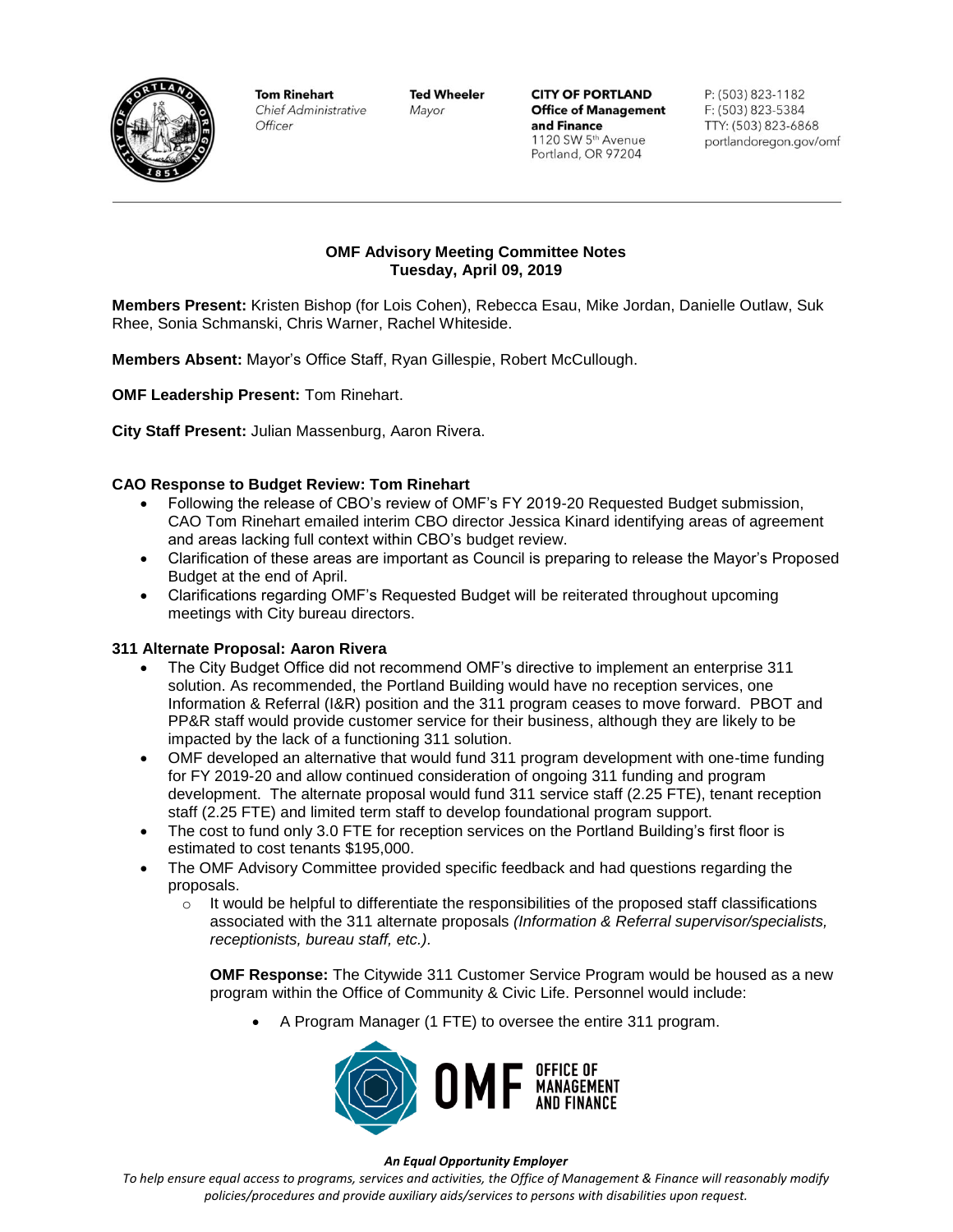

**Tom Rinehart** Chief Administrative Officer

**Ted Wheeler** Mayor

**CITY OF PORTLAND Office of Management** and Finance 1120 SW 5th Avenue Portland, OR 97204

P: (503) 823-1182 F: (503) 823-5384 TTY: (503) 823-6868 portlandoregon.gov/omf

### **OMF Advisory Meeting Committee Notes Tuesday, April 09, 2019**

**Members Present:** Kristen Bishop (for Lois Cohen), Rebecca Esau, Mike Jordan, Danielle Outlaw, Suk Rhee, Sonia Schmanski, Chris Warner, Rachel Whiteside.

**Members Absent:** Mayor's Office Staff, Ryan Gillespie, Robert McCullough.

**OMF Leadership Present:** Tom Rinehart.

**City Staff Present:** Julian Massenburg, Aaron Rivera.

### **CAO Response to Budget Review: Tom Rinehart**

- Following the release of CBO's review of OMF's FY 2019-20 Requested Budget submission, CAO Tom Rinehart emailed interim CBO director Jessica Kinard identifying areas of agreement and areas lacking full context within CBO's budget review.
- Clarification of these areas are important as Council is preparing to release the Mayor's Proposed Budget at the end of April.
- Clarifications regarding OMF's Requested Budget will be reiterated throughout upcoming meetings with City bureau directors.

#### **311 Alternate Proposal: Aaron Rivera**

- The City Budget Office did not recommend OMF's directive to implement an enterprise 311 solution. As recommended, the Portland Building would have no reception services, one Information & Referral (I&R) position and the 311 program ceases to move forward. PBOT and PP&R staff would provide customer service for their business, although they are likely to be impacted by the lack of a functioning 311 solution.
- OMF developed an alternative that would fund 311 program development with one-time funding for FY 2019-20 and allow continued consideration of ongoing 311 funding and program development. The alternate proposal would fund 311 service staff (2.25 FTE), tenant reception staff (2.25 FTE) and limited term staff to develop foundational program support.
- The cost to fund only 3.0 FTE for reception services on the Portland Building's first floor is estimated to cost tenants \$195,000.
- The OMF Advisory Committee provided specific feedback and had questions regarding the proposals.
	- $\circ$  It would be helpful to differentiate the responsibilities of the proposed staff classifications associated with the 311 alternate proposals *(Information & Referral supervisor/specialists, receptionists, bureau staff, etc.).*

**OMF Response:** The Citywide 311 Customer Service Program would be housed as a new program within the Office of Community & Civic Life. Personnel would include:

• A Program Manager (1 FTE) to oversee the entire 311 program.



#### *An Equal Opportunity Employer*

*To help ensure equal access to programs, services and activities, the Office of Management & Finance will reasonably modify policies/procedures and provide auxiliary aids/services to persons with disabilities upon request.*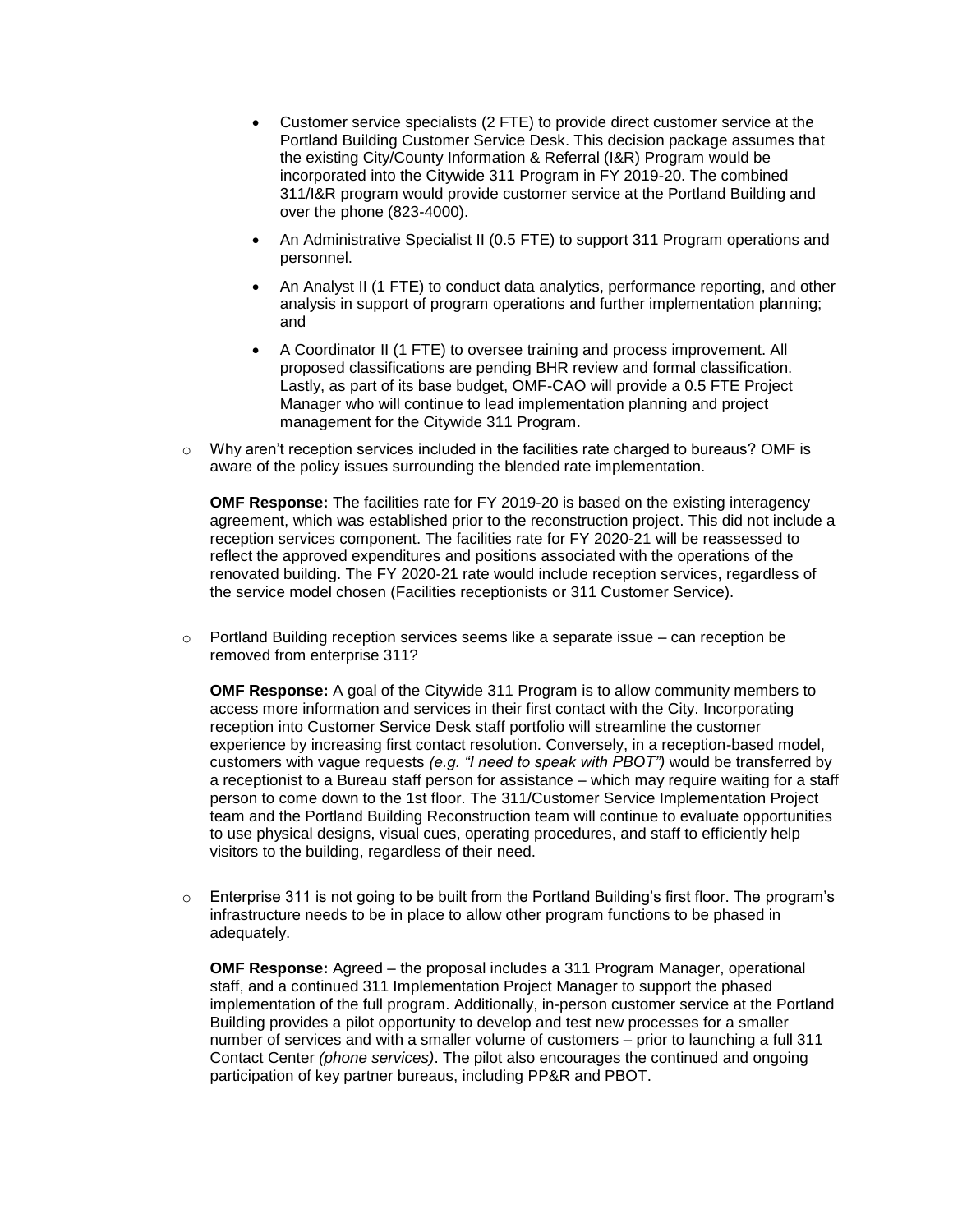- Customer service specialists (2 FTE) to provide direct customer service at the Portland Building Customer Service Desk. This decision package assumes that the existing City/County Information & Referral (I&R) Program would be incorporated into the Citywide 311 Program in FY 2019-20. The combined 311/I&R program would provide customer service at the Portland Building and over the phone (823-4000).
- An Administrative Specialist II (0.5 FTE) to support 311 Program operations and personnel.
- An Analyst II (1 FTE) to conduct data analytics, performance reporting, and other analysis in support of program operations and further implementation planning; and
- A Coordinator II (1 FTE) to oversee training and process improvement. All proposed classifications are pending BHR review and formal classification. Lastly, as part of its base budget, OMF-CAO will provide a 0.5 FTE Project Manager who will continue to lead implementation planning and project management for the Citywide 311 Program.
- $\circ$  Why aren't reception services included in the facilities rate charged to bureaus? OMF is aware of the policy issues surrounding the blended rate implementation.

**OMF Response:** The facilities rate for FY 2019-20 is based on the existing interagency agreement, which was established prior to the reconstruction project. This did not include a reception services component. The facilities rate for FY 2020-21 will be reassessed to reflect the approved expenditures and positions associated with the operations of the renovated building. The FY 2020-21 rate would include reception services, regardless of the service model chosen (Facilities receptionists or 311 Customer Service).

 $\circ$  Portland Building reception services seems like a separate issue – can reception be removed from enterprise 311?

**OMF Response:** A goal of the Citywide 311 Program is to allow community members to access more information and services in their first contact with the City. Incorporating reception into Customer Service Desk staff portfolio will streamline the customer experience by increasing first contact resolution. Conversely, in a reception-based model, customers with vague requests *(e.g. "I need to speak with PBOT")* would be transferred by a receptionist to a Bureau staff person for assistance – which may require waiting for a staff person to come down to the 1st floor. The 311/Customer Service Implementation Project team and the Portland Building Reconstruction team will continue to evaluate opportunities to use physical designs, visual cues, operating procedures, and staff to efficiently help visitors to the building, regardless of their need.

o Enterprise 311 is not going to be built from the Portland Building's first floor. The program's infrastructure needs to be in place to allow other program functions to be phased in adequately.

**OMF Response:** Agreed – the proposal includes a 311 Program Manager, operational staff, and a continued 311 Implementation Project Manager to support the phased implementation of the full program. Additionally, in-person customer service at the Portland Building provides a pilot opportunity to develop and test new processes for a smaller number of services and with a smaller volume of customers – prior to launching a full 311 Contact Center *(phone services)*. The pilot also encourages the continued and ongoing participation of key partner bureaus, including PP&R and PBOT.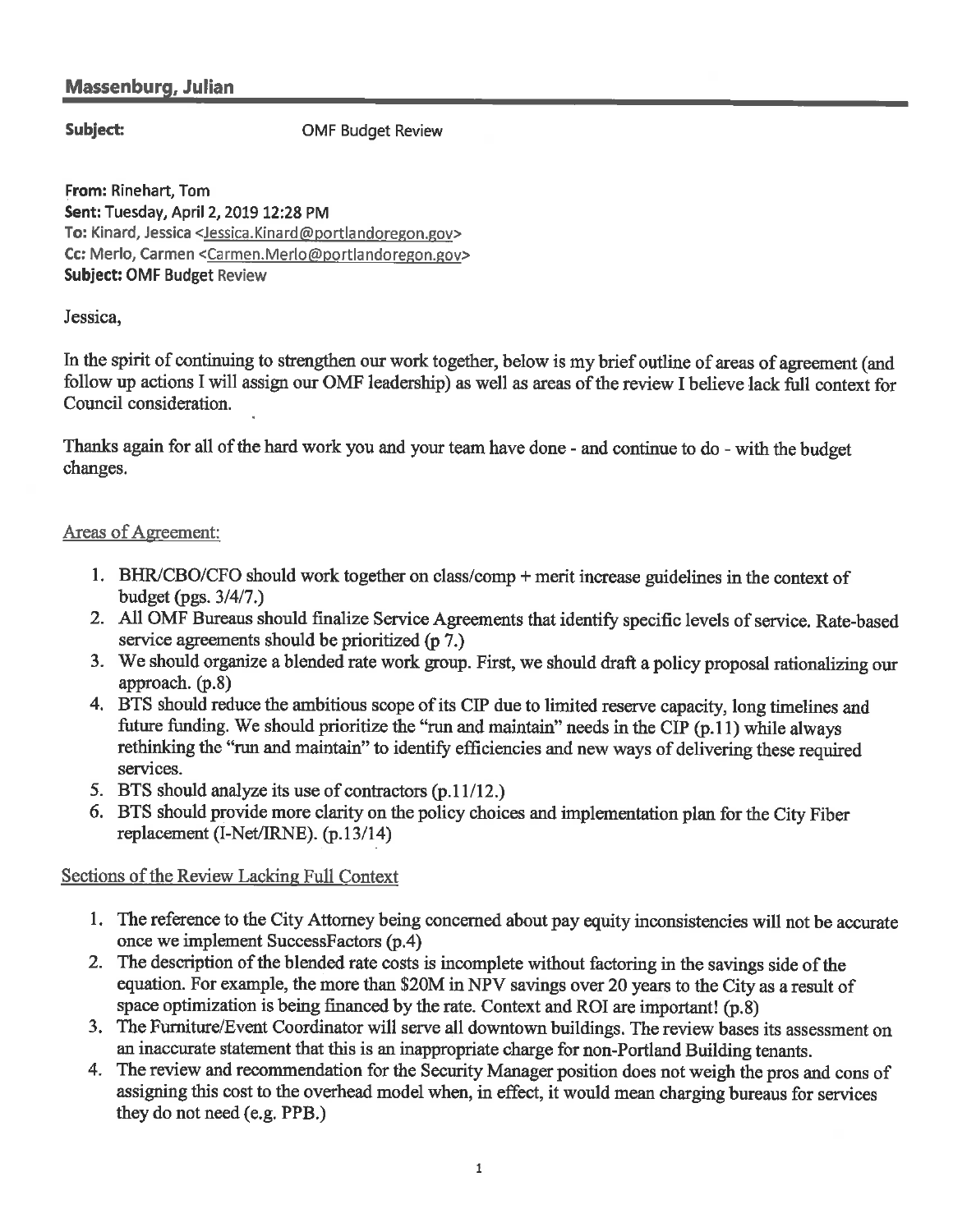# **Massenburg, Julian**

## Subject:

**OMF Budget Review** 

From: Rinehart, Tom Sent: Tuesday, April 2, 2019 12:28 PM To: Kinard, Jessica <Jessica.Kinard@portlandoregon.gov> Cc: Merlo, Carmen <Carmen.Merlo@portlandoregon.gov> **Subject: OMF Budget Review** 

## Jessica,

In the spirit of continuing to strengthen our work together, below is my brief outline of areas of agreement (and follow up actions I will assign our OMF leadership) as well as areas of the review I believe lack full context for Council consideration.

Thanks again for all of the hard work you and your team have done - and continue to do - with the budget changes.

## Areas of Agreement:

- 1. BHR/CBO/CFO should work together on class/comp + merit increase guidelines in the context of budget (pgs.  $3/4/7$ .)
- 2. All OMF Bureaus should finalize Service Agreements that identify specific levels of service. Rate-based service agreements should be prioritized (p 7.)
- 3. We should organize a blended rate work group. First, we should draft a policy proposal rationalizing our approach. (p.8)
- 4. BTS should reduce the ambitious scope of its CIP due to limited reserve capacity, long timelines and future funding. We should prioritize the "run and maintain" needs in the CIP (p.11) while always rethinking the "run and maintain" to identify efficiencies and new ways of delivering these required services.
- 5. BTS should analyze its use of contractors (p.11/12.)
- 6. BTS should provide more clarity on the policy choices and implementation plan for the City Fiber replacement (I-Net/IRNE). (p.13/14)

# Sections of the Review Lacking Full Context

- 1. The reference to the City Attorney being concerned about pay equity inconsistencies will not be accurate once we implement SuccessFactors (p.4)
- 2. The description of the blended rate costs is incomplete without factoring in the savings side of the equation. For example, the more than \$20M in NPV savings over 20 years to the City as a result of space optimization is being financed by the rate. Context and ROI are important! (p.8)
- 3. The Furniture/Event Coordinator will serve all downtown buildings. The review bases its assessment on an inaccurate statement that this is an inappropriate charge for non-Portland Building tenants.
- 4. The review and recommendation for the Security Manager position does not weigh the pros and cons of assigning this cost to the overhead model when, in effect, it would mean charging bureaus for services they do not need (e.g. PPB.)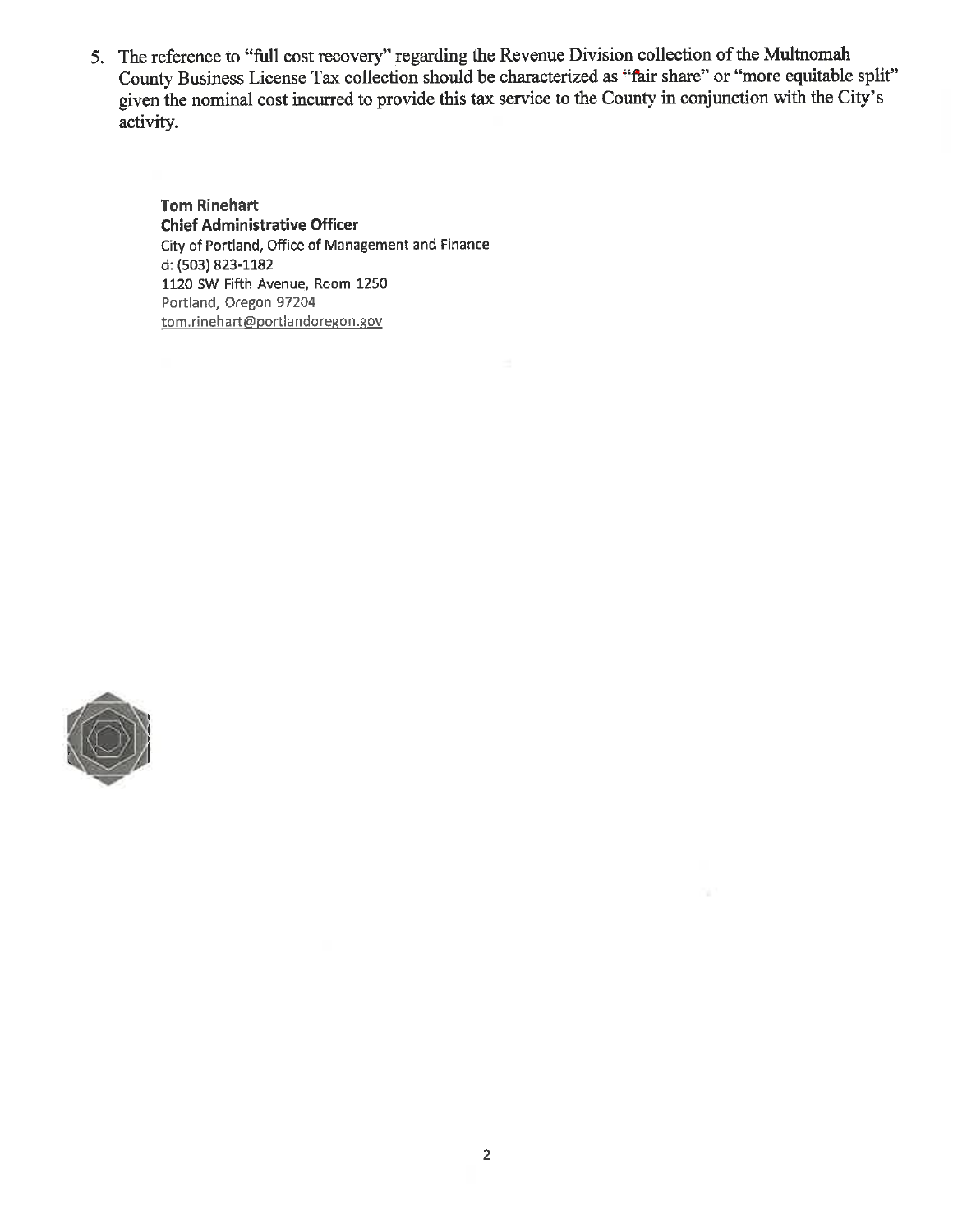5. The reference to "full cost recovery" regarding the Revenue Division collection of the Multnomah County Business License Tax collection should be characterized as "fair share" or "more equitable split" given the nominal cost incurred to provide this tax service to the County in conjunction with the City's activity.

**Tom Rinehart Chief Administrative Officer** City of Portland, Office of Management and Finance d: (503) 823-1182 1120 SW Fifth Avenue, Room 1250 Portland, Oregon 97204 tom.rinehart@portlandoregon.gov

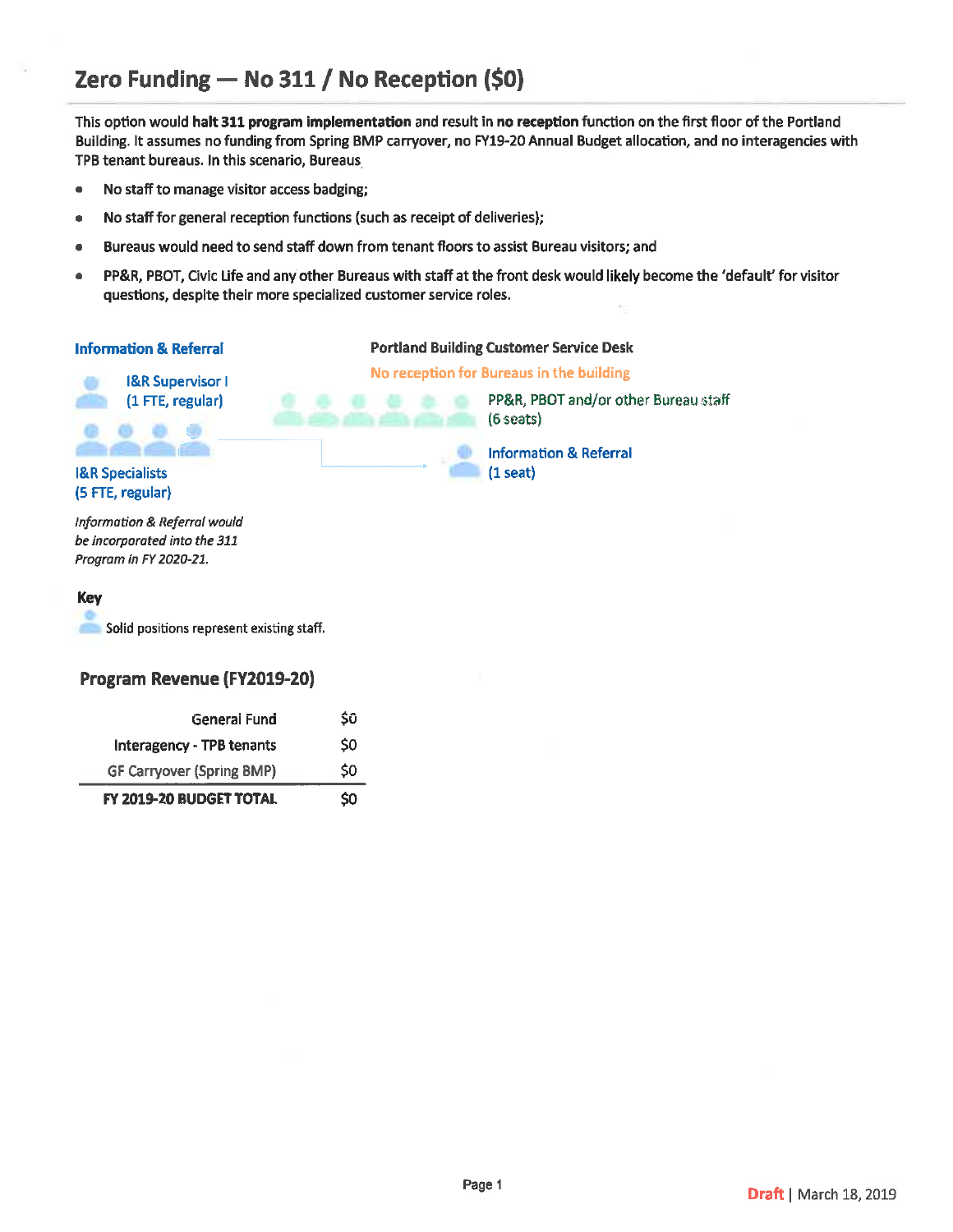# Zero Funding - No 311 / No Reception (\$0)

This option would halt 311 program implementation and result in no reception function on the first floor of the Portland Building. It assumes no funding from Spring BMP carryover, no FY19-20 Annual Budget allocation, and no interagencies with TPB tenant bureaus. In this scenario, Bureaus

- No staff to manage visitor access badging;  $\bullet$
- No staff for general reception functions (such as receipt of deliveries);
- Bureaus would need to send staff down from tenant floors to assist Bureau visitors; and  $\bullet$
- PP&R, PBOT, Civic Life and any other Bureaus with staff at the front desk would likely become the 'default' for visitor  $\bullet$ questions, despite their more specialized customer service roles.

| <b>Information &amp; Referral</b> | <b>Portland Building Customer Service Desk</b>      |  |  |
|-----------------------------------|-----------------------------------------------------|--|--|
| <b>I&amp;R Supervisor I</b>       | No reception for Bureaus in the building            |  |  |
| (1 FTE, regular)                  | PP&R, PBOT and/or other Bureau staff<br>$(6$ seats) |  |  |
|                                   | <b>Information &amp; Referral</b>                   |  |  |
| <b>I&amp;R Specialists</b>        | $(1$ seat)                                          |  |  |
| (5 FTE, regular)                  |                                                     |  |  |
| Information & Referral would      |                                                     |  |  |
| be incorporated into the 311      |                                                     |  |  |
| Program in FY 2020-21.            |                                                     |  |  |

### **Key**

Solid positions represent existing staff.

### Program Revenue (FY2019-20)

| General Fund<br><b>Interagency - TPB tenants</b> | Sũ<br>\$0 |
|--------------------------------------------------|-----------|
| <b>GF Carryover (Spring BMP)</b>                 | \$0       |
| FY 2019-20 BUDGET TOTAL                          | \$0       |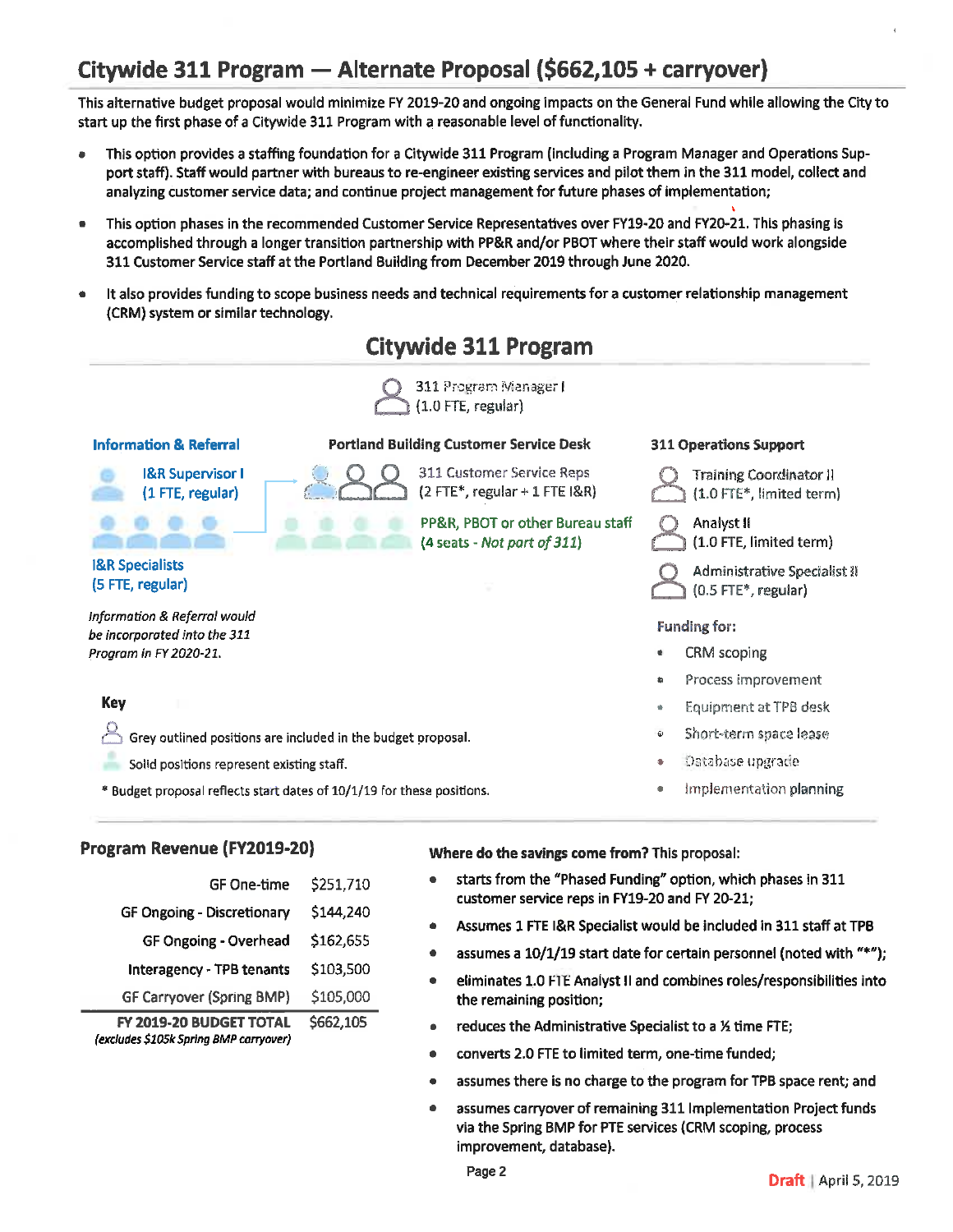# Citywide 311 Program — Alternate Proposal (\$662,105 + carryover)

This alternative budget proposal would minimize FY 2019-20 and ongoing impacts on the General Fund while allowing the City to start up the first phase of a Citywide 311 Program with a reasonable level of functionality.

- This option provides a staffing foundation for a Citywide 311 Program (including a Program Manager and Operations Support staff). Staff would partner with bureaus to re-engineer existing services and pilot them in the 311 model, collect and analyzing customer service data; and continue project management for future phases of implementation;
- This option phases in the recommended Customer Service Representatives over FY19-20 and FY20-21. This phasing is  $\bullet$ accomplished through a longer transition partnership with PP&R and/or PBOT where their staff would work alongside 311 Customer Service staff at the Portland Building from December 2019 through June 2020.
- It also provides funding to scope business needs and technical requirements for a customer relationship management (CRM) system or similar technology.



## Program Revenue (FY2019-20)

| FY 2019-20 BUDGET TOTAL<br>(excludes \$105k Spring BMP carryover) | \$662,105 |
|-------------------------------------------------------------------|-----------|
| <b>GF Carryover (Spring BMP)</b>                                  | \$105,000 |
| <b>Interagency - TPB tenants</b>                                  | \$103,500 |
| <b>GF Ongoing - Overhead</b>                                      | \$162,655 |
| <b>GF Ongoing - Discretionary</b>                                 | \$144,240 |
| <b>GF One-time</b>                                                | \$251,710 |
|                                                                   |           |

Where do the savings come from? This proposal:

- starts from the "Phased Funding" option, which phases in 311 customer service reps in FY19-20 and FY 20-21;
- Assumes 1 FTE I&R Specialist would be included in 311 staff at TPB  $\bullet$
- assumes a 10/1/19 start date for certain personnel (noted with "\*"):
- eliminates 1.0 FTE Analyst II and combines roles/responsibilities into  $\bullet$ the remaining position;
- reduces the Administrative Specialist to a 1/2 time FTE;
- converts 2.0 FTE to limited term, one-time funded;
- assumes there is no charge to the program for TPB space rent; and
- assumes carryover of remaining 311 Implementation Project funds  $\bullet$ via the Spring BMP for PTE services (CRM scoping, process improvement, database).